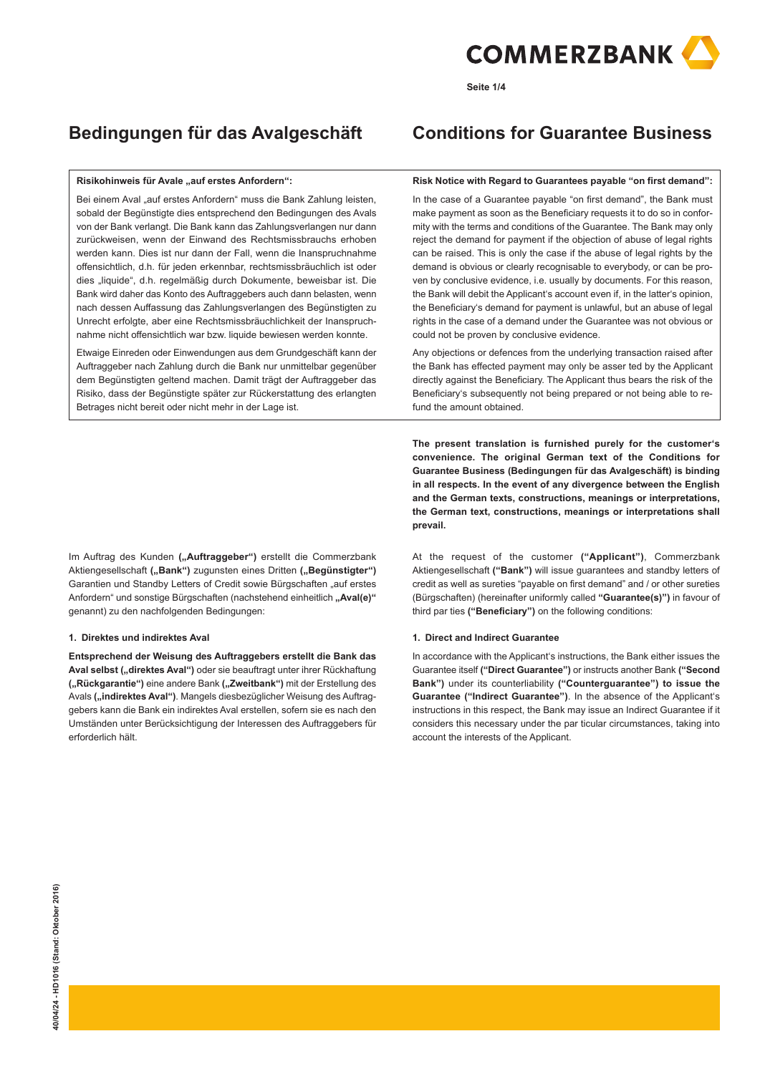

**Seite 1/4**

# **Risikohinweis für Avale "auf erstes Anfordern":**

Bei einem Aval "auf erstes Anfordern" muss die Bank Zahlung leisten, sobald der Begünstigte dies entsprechend den Bedingungen des Avals von der Bank verlangt. Die Bank kann das Zahlungsverlangen nur dann zurückweisen, wenn der Einwand des Rechtsmissbrauchs erhoben werden kann. Dies ist nur dann der Fall, wenn die Inanspruchnahme offensichtlich, d.h. für jeden erkennbar, rechtsmissbräuchlich ist oder dies "liquide", d.h. regelmäßig durch Dokumente, beweisbar ist. Die Bank wird daher das Konto des Auftraggebers auch dann belasten, wenn nach dessen Auffassung das Zahlungsverlangen des Begünstigten zu Unrecht erfolgte, aber eine Rechtsmissbräuchlichkeit der Inanspruchnahme nicht offensichtlich war bzw. liquide bewiesen werden konnte.

Etwaige Einreden oder Einwendungen aus dem Grundgeschäft kann der Auftraggeber nach Zahlung durch die Bank nur unmittelbar gegenüber dem Begünstigten geltend machen. Damit trägt der Auftraggeber das Risiko, dass der Begünstigte später zur Rückerstattung des erlangten Betrages nicht bereit oder nicht mehr in der Lage ist.

Im Auftrag des Kunden ("Auftraggeber") erstellt die Commerzbank Aktiengesellschaft ("Bank") zugunsten eines Dritten ("Begünstigter") Garantien und Standby Letters of Credit sowie Bürgschaften "auf erstes Anfordern" und sonstige Bürgschaften (nachstehend einheitlich "Aval(e)" genannt) zu den nachfolgenden Bedingungen:

# **1. Direktes und indirektes Aval**

**Entsprechend der Weisung des Auftraggebers erstellt die Bank das**  Aval selbst ("direktes Aval") oder sie beauftragt unter ihrer Rückhaftung **("Rückgarantie")** eine andere Bank **("Zweitbank")** mit der Erstellung des Avals ("indirektes Aval"). Mangels diesbezüglicher Weisung des Auftraggebers kann die Bank ein indirektes Aval erstellen, sofern sie es nach den Umständen unter Berücksichtigung der Interessen des Auftraggebers für erforderlich hält.

# **Bedingungen für das Avalgeschäft Conditions for Guarantee Business**

#### **Risk Notice with Regard to Guarantees payable "on first demand":**

In the case of a Guarantee payable "on first demand", the Bank must make payment as soon as the Beneficiary requests it to do so in conformity with the terms and conditions of the Guarantee. The Bank may only reject the demand for payment if the objection of abuse of legal rights can be raised. This is only the case if the abuse of legal rights by the demand is obvious or clearly recognisable to everybody, or can be proven by conclusive evidence, i.e. usually by documents. For this reason, the Bank will debit the Applicant's account even if, in the latter's opinion, the Beneficiary's demand for payment is unlawful, but an abuse of legal rights in the case of a demand under the Guarantee was not obvious or could not be proven by conclusive evidence.

Any objections or defences from the underlying transaction raised after the Bank has effected payment may only be asser ted by the Applicant directly against the Beneficiary. The Applicant thus bears the risk of the Beneficiary's subsequently not being prepared or not being able to refund the amount obtained.

**The present translation is furnished purely for the customer's convenience. The original German text of the Conditions for Guarantee Business (Bedingungen für das Avalgeschäft) is binding in all respects. In the event of any divergence between the English and the German texts, constructions, meanings or interpretations, the German text, constructions, meanings or interpretations shall prevail.**

At the request of the customer **("Applicant")**, Commerzbank Aktiengesellschaft **("Bank")** will issue guarantees and standby letters of credit as well as sureties "payable on first demand" and / or other sureties (Bürgschaften) (hereinafter uniformly called **"Guarantee(s)")** in favour of third par ties **("Beneficiary")** on the following conditions:

# **1. Direct and Indirect Guarantee**

In accordance with the Applicant's instructions, the Bank either issues the Guarantee itself **("Direct Guarantee")** or instructs another Bank **("Second Bank")** under its counterliability **("Counterguarantee") to issue the Guarantee ("Indirect Guarantee")**. In the absence of the Applicant's instructions in this respect, the Bank may issue an Indirect Guarantee if it considers this necessary under the par ticular circumstances, taking into account the interests of the Applicant.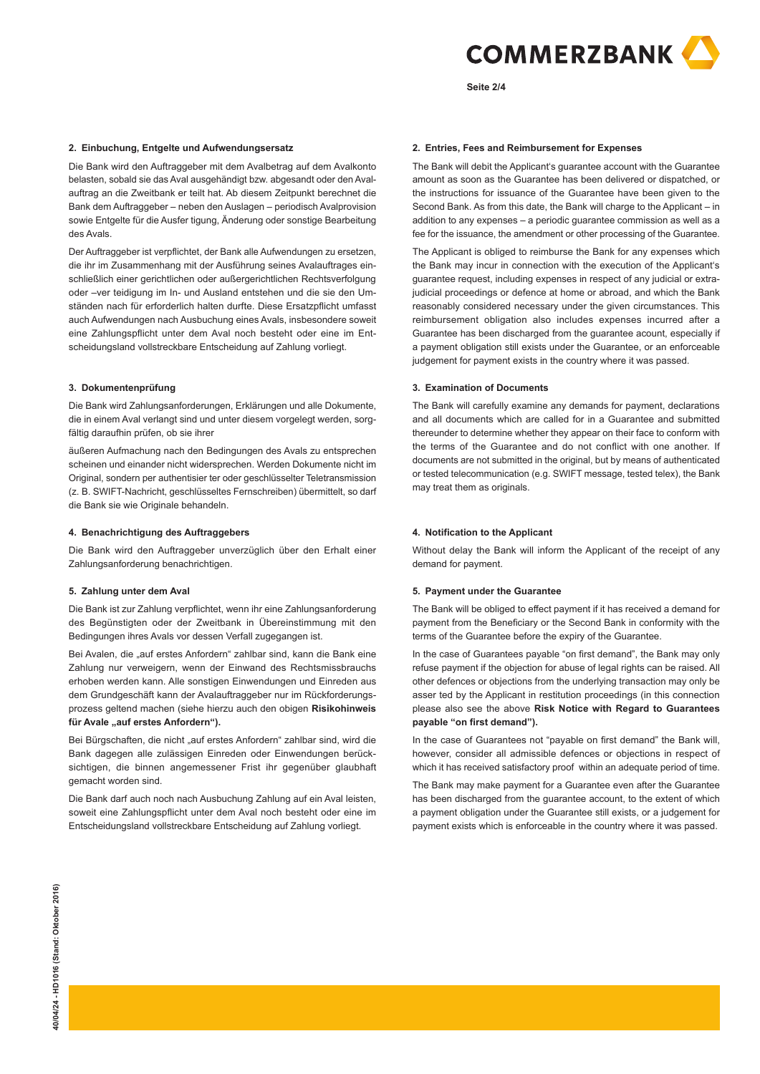

**Seite 2/4**

# **2. Einbuchung, Entgelte und Aufwendungsersatz**

Die Bank wird den Auftraggeber mit dem Avalbetrag auf dem Avalkonto belasten, sobald sie das Aval ausgehändigt bzw. abgesandt oder den Avalauftrag an die Zweitbank er teilt hat. Ab diesem Zeitpunkt berechnet die Bank dem Auftraggeber – neben den Auslagen – periodisch Avalprovision sowie Entgelte für die Ausfer tigung, Änderung oder sonstige Bearbeitung des Avals.

Der Auftraggeber ist verpflichtet, der Bank alle Aufwendungen zu ersetzen, die ihr im Zusammenhang mit der Ausführung seines Avalauftrages einschließlich einer gerichtlichen oder außergerichtlichen Rechtsverfolgung oder –ver teidigung im In- und Ausland entstehen und die sie den Umständen nach für erforderlich halten durfte. Diese Ersatzpflicht umfasst auch Aufwendungen nach Ausbuchung eines Avals, insbesondere soweit eine Zahlungspflicht unter dem Aval noch besteht oder eine im Entscheidungsland vollstreckbare Entscheidung auf Zahlung vorliegt.

#### **3. Dokumentenprüfung**

Die Bank wird Zahlungsanforderungen, Erklärungen und alle Dokumente, die in einem Aval verlangt sind und unter diesem vorgelegt werden, sorgfältig daraufhin prüfen, ob sie ihrer

äußeren Aufmachung nach den Bedingungen des Avals zu entsprechen scheinen und einander nicht widersprechen. Werden Dokumente nicht im Original, sondern per authentisier ter oder geschlüsselter Teletransmission (z. B. SWIFT-Nachricht, geschlüsseltes Fernschreiben) übermittelt, so darf die Bank sie wie Originale behandeln.

#### **4. Benachrichtigung des Auftraggebers**

Die Bank wird den Auftraggeber unverzüglich über den Erhalt einer Zahlungsanforderung benachrichtigen.

#### **5. Zahlung unter dem Aval**

Die Bank ist zur Zahlung verpflichtet, wenn ihr eine Zahlungsanforderung des Begünstigten oder der Zweitbank in Übereinstimmung mit den Bedingungen ihres Avals vor dessen Verfall zugegangen ist.

Bei Avalen, die "auf erstes Anfordern" zahlbar sind, kann die Bank eine Zahlung nur verweigern, wenn der Einwand des Rechtsmissbrauchs erhoben werden kann. Alle sonstigen Einwendungen und Einreden aus dem Grundgeschäft kann der Avalauftraggeber nur im Rückforderungsprozess geltend machen (siehe hierzu auch den obigen **Risikohinweis**  für Avale "auf erstes Anfordern").

Bei Bürgschaften, die nicht "auf erstes Anfordern" zahlbar sind, wird die Bank dagegen alle zulässigen Einreden oder Einwendungen berücksichtigen, die binnen angemessener Frist ihr gegenüber glaubhaft gemacht worden sind.

Die Bank darf auch noch nach Ausbuchung Zahlung auf ein Aval leisten, soweit eine Zahlungspflicht unter dem Aval noch besteht oder eine im Entscheidungsland vollstreckbare Entscheidung auf Zahlung vorliegt.

#### **2. Entries, Fees and Reimbursement for Expenses**

The Bank will debit the Applicant's guarantee account with the Guarantee amount as soon as the Guarantee has been delivered or dispatched, or the instructions for issuance of the Guarantee have been given to the Second Bank. As from this date, the Bank will charge to the Applicant – in addition to any expenses – a periodic guarantee commission as well as a fee for the issuance, the amendment or other processing of the Guarantee.

The Applicant is obliged to reimburse the Bank for any expenses which the Bank may incur in connection with the execution of the Applicant's guarantee request, including expenses in respect of any judicial or extrajudicial proceedings or defence at home or abroad, and which the Bank reasonably considered necessary under the given circumstances. This reimbursement obligation also includes expenses incurred after a Guarantee has been discharged from the guarantee acount, especially if a payment obligation still exists under the Guarantee, or an enforceable judgement for payment exists in the country where it was passed.

## **3. Examination of Documents**

The Bank will carefully examine any demands for payment, declarations and all documents which are called for in a Guarantee and submitted thereunder to determine whether they appear on their face to conform with the terms of the Guarantee and do not conflict with one another. If documents are not submitted in the original, but by means of authenticated or tested telecommunication (e.g. SWIFT message, tested telex), the Bank may treat them as originals.

#### **4. Notification to the Applicant**

Without delay the Bank will inform the Applicant of the receipt of any demand for payment.

# **5. Payment under the Guarantee**

The Bank will be obliged to effect payment if it has received a demand for payment from the Beneficiary or the Second Bank in conformity with the terms of the Guarantee before the expiry of the Guarantee.

In the case of Guarantees payable "on first demand", the Bank may only refuse payment if the objection for abuse of legal rights can be raised. All other defences or objections from the underlying transaction may only be asser ted by the Applicant in restitution proceedings (in this connection please also see the above **Risk Notice with Regard to Guarantees payable "on first demand").**

In the case of Guarantees not "payable on first demand" the Bank will, however, consider all admissible defences or objections in respect of which it has received satisfactory proof within an adequate period of time.

The Bank may make payment for a Guarantee even after the Guarantee has been discharged from the guarantee account, to the extent of which a payment obligation under the Guarantee still exists, or a judgement for payment exists which is enforceable in the country where it was passed.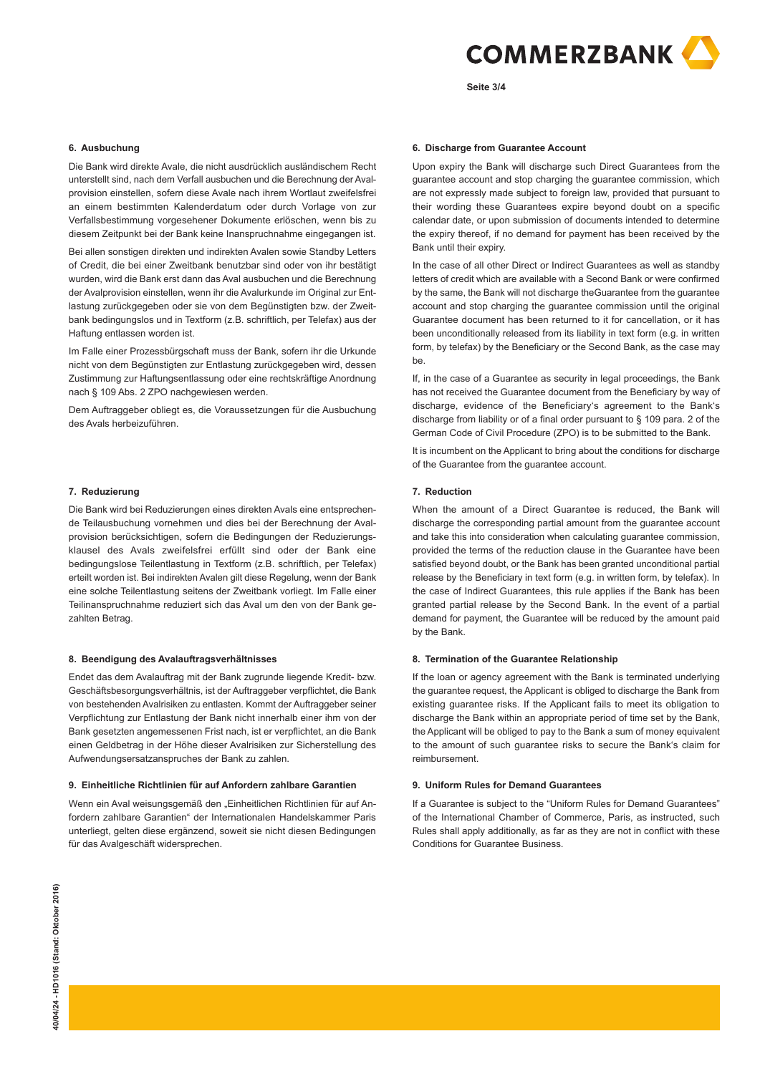

**Seite 3/4**

# **6. Ausbuchung**

Die Bank wird direkte Avale, die nicht ausdrücklich ausländischem Recht unterstellt sind, nach dem Verfall ausbuchen und die Berechnung der Avalprovision einstellen, sofern diese Avale nach ihrem Wortlaut zweifelsfrei an einem bestimmten Kalenderdatum oder durch Vorlage von zur Verfallsbestimmung vorgesehener Dokumente erlöschen, wenn bis zu diesem Zeitpunkt bei der Bank keine Inanspruchnahme eingegangen ist.

Bei allen sonstigen direkten und indirekten Avalen sowie Standby Letters of Credit, die bei einer Zweitbank benutzbar sind oder von ihr bestätigt wurden, wird die Bank erst dann das Aval ausbuchen und die Berechnung der Avalprovision einstellen, wenn ihr die Avalurkunde im Original zur Entlastung zurückgegeben oder sie von dem Begünstigten bzw. der Zweitbank bedingungslos und in Textform (z.B. schriftlich, per Telefax) aus der Haftung entlassen worden ist.

Im Falle einer Prozessbürgschaft muss der Bank, sofern ihr die Urkunde nicht von dem Begünstigten zur Entlastung zurückgegeben wird, dessen Zustimmung zur Haftungsentlassung oder eine rechtskräftige Anordnung nach § 109 Abs. 2 ZPO nachgewiesen werden.

Dem Auftraggeber obliegt es, die Voraussetzungen für die Ausbuchung des Avals herbeizuführen.

#### **7. Reduzierung**

Die Bank wird bei Reduzierungen eines direkten Avals eine entsprechende Teilausbuchung vornehmen und dies bei der Berechnung der Avalprovision berücksichtigen, sofern die Bedingungen der Reduzierungsklausel des Avals zweifelsfrei erfüllt sind oder der Bank eine bedingungslose Teilentlastung in Textform (z.B. schriftlich, per Telefax) erteilt worden ist. Bei indirekten Avalen gilt diese Regelung, wenn der Bank eine solche Teilentlastung seitens der Zweitbank vorliegt. Im Falle einer Teilinanspruchnahme reduziert sich das Aval um den von der Bank gezahlten Betrag.

#### **8. Beendigung des Avalauftragsverhältnisses**

Endet das dem Avalauftrag mit der Bank zugrunde liegende Kredit- bzw. Geschäftsbesorgungsverhältnis, ist der Auftraggeber verpflichtet, die Bank von bestehenden Avalrisiken zu entlasten. Kommt der Auftraggeber seiner Verpflichtung zur Entlastung der Bank nicht innerhalb einer ihm von der Bank gesetzten angemessenen Frist nach, ist er verpflichtet, an die Bank einen Geldbetrag in der Höhe dieser Avalrisiken zur Sicherstellung des Aufwendungsersatzanspruches der Bank zu zahlen.

#### **9. Einheitliche Richtlinien für auf Anfordern zahlbare Garantien**

Wenn ein Aval weisungsgemäß den "Einheitlichen Richtlinien für auf Anfordern zahlbare Garantien" der Internationalen Handelskammer Paris unterliegt, gelten diese ergänzend, soweit sie nicht diesen Bedingungen für das Avalgeschäft widersprechen.

#### **6. Discharge from Guarantee Account**

Upon expiry the Bank will discharge such Direct Guarantees from the guarantee account and stop charging the guarantee commission, which are not expressly made subject to foreign law, provided that pursuant to their wording these Guarantees expire beyond doubt on a specific calendar date, or upon submission of documents intended to determine the expiry thereof, if no demand for payment has been received by the Bank until their expiry.

In the case of all other Direct or Indirect Guarantees as well as standby letters of credit which are available with a Second Bank or were confirmed by the same, the Bank will not discharge theGuarantee from the guarantee account and stop charging the guarantee commission until the original Guarantee document has been returned to it for cancellation, or it has been unconditionally released from its liability in text form (e.g. in written form, by telefax) by the Beneficiary or the Second Bank, as the case may be.

If, in the case of a Guarantee as security in legal proceedings, the Bank has not received the Guarantee document from the Beneficiary by way of discharge, evidence of the Beneficiary's agreement to the Bank's discharge from liability or of a final order pursuant to § 109 para. 2 of the German Code of Civil Procedure (ZPO) is to be submitted to the Bank.

It is incumbent on the Applicant to bring about the conditions for discharge of the Guarantee from the guarantee account.

#### **7. Reduction**

When the amount of a Direct Guarantee is reduced, the Bank will discharge the corresponding partial amount from the guarantee account and take this into consideration when calculating guarantee commission, provided the terms of the reduction clause in the Guarantee have been satisfied beyond doubt, or the Bank has been granted unconditional partial release by the Beneficiary in text form (e.g. in written form, by telefax). In the case of Indirect Guarantees, this rule applies if the Bank has been granted partial release by the Second Bank. In the event of a partial demand for payment, the Guarantee will be reduced by the amount paid by the Bank.

#### **8. Termination of the Guarantee Relationship**

If the loan or agency agreement with the Bank is terminated underlying the guarantee request, the Applicant is obliged to discharge the Bank from existing guarantee risks. If the Applicant fails to meet its obligation to discharge the Bank within an appropriate period of time set by the Bank, the Applicant will be obliged to pay to the Bank a sum of money equivalent to the amount of such guarantee risks to secure the Bank's claim for reimbursement.

# **9. Uniform Rules for Demand Guarantees**

If a Guarantee is subject to the "Uniform Rules for Demand Guarantees" of the International Chamber of Commerce, Paris, as instructed, such Rules shall apply additionally, as far as they are not in conflict with these Conditions for Guarantee Business.